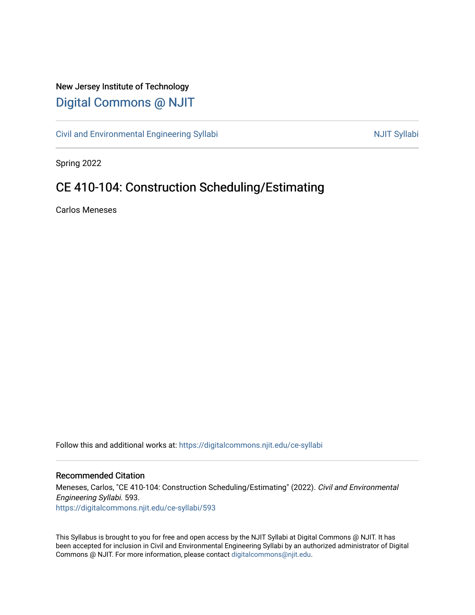## New Jersey Institute of Technology [Digital Commons @ NJIT](https://digitalcommons.njit.edu/)

[Civil and Environmental Engineering Syllabi](https://digitalcommons.njit.edu/ce-syllabi) Nulle and Syllabi NJIT Syllabi

Spring 2022

# CE 410-104: Construction Scheduling/Estimating

Carlos Meneses

Follow this and additional works at: [https://digitalcommons.njit.edu/ce-syllabi](https://digitalcommons.njit.edu/ce-syllabi?utm_source=digitalcommons.njit.edu%2Fce-syllabi%2F593&utm_medium=PDF&utm_campaign=PDFCoverPages)

#### Recommended Citation

Meneses, Carlos, "CE 410-104: Construction Scheduling/Estimating" (2022). Civil and Environmental Engineering Syllabi. 593. [https://digitalcommons.njit.edu/ce-syllabi/593](https://digitalcommons.njit.edu/ce-syllabi/593?utm_source=digitalcommons.njit.edu%2Fce-syllabi%2F593&utm_medium=PDF&utm_campaign=PDFCoverPages)

This Syllabus is brought to you for free and open access by the NJIT Syllabi at Digital Commons @ NJIT. It has been accepted for inclusion in Civil and Environmental Engineering Syllabi by an authorized administrator of Digital Commons @ NJIT. For more information, please contact [digitalcommons@njit.edu.](mailto:digitalcommons@njit.edu)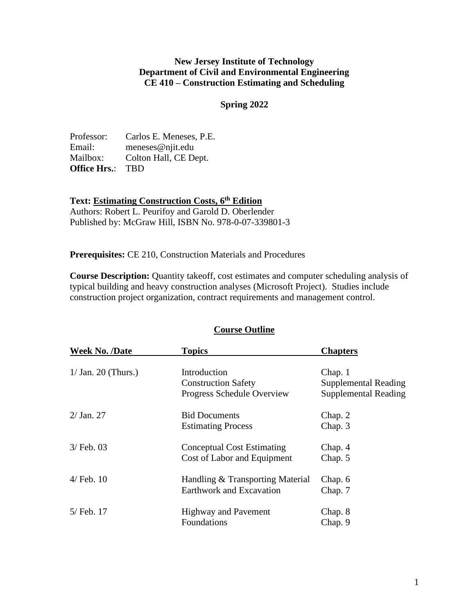#### **New Jersey Institute of Technology Department of Civil and Environmental Engineering CE 410 – Construction Estimating and Scheduling**

#### **Spring 2022**

| Professor:          | Carlos E. Meneses, P.E. |
|---------------------|-------------------------|
| Email:              | $meneses@nji$ t.edu     |
| Mailbox:            | Colton Hall, CE Dept.   |
| <b>Office Hrs.:</b> | <b>TBD</b>              |

#### **Text: Estimating Construction Costs, 6 th Edition**

Authors: Robert L. Peurifoy and Garold D. Oberlender Published by: McGraw Hill, ISBN No. 978-0-07-339801-3

**Prerequisites:** CE 210, Construction Materials and Procedures

**Course Description:** Quantity takeoff, cost estimates and computer scheduling analysis of typical building and heavy construction analyses (Microsoft Project). Studies include construction project organization, contract requirements and management control.

| <b>Week No. /Date</b> | <b>Topics</b>                                                            | <b>Chapters</b>                                                       |
|-----------------------|--------------------------------------------------------------------------|-----------------------------------------------------------------------|
| $1/$ Jan. 20 (Thurs.) | Introduction<br><b>Construction Safety</b><br>Progress Schedule Overview | Chap. 1<br><b>Supplemental Reading</b><br><b>Supplemental Reading</b> |
| $2/$ Jan. 27          | <b>Bid Documents</b><br><b>Estimating Process</b>                        | Chap. 2<br>Chap. 3                                                    |
| $3/$ Feb. 03          | <b>Conceptual Cost Estimating</b><br>Cost of Labor and Equipment         | Chap. 4<br>Chap. 5                                                    |
| $4/$ Feb. $10$        | Handling & Transporting Material<br>Earthwork and Excavation             | Chap. 6<br>Chap. 7                                                    |
| 5/ Feb. 17            | <b>Highway and Pavement</b><br>Foundations                               | Chap. 8<br>Chap. 9                                                    |

## **Course Outline**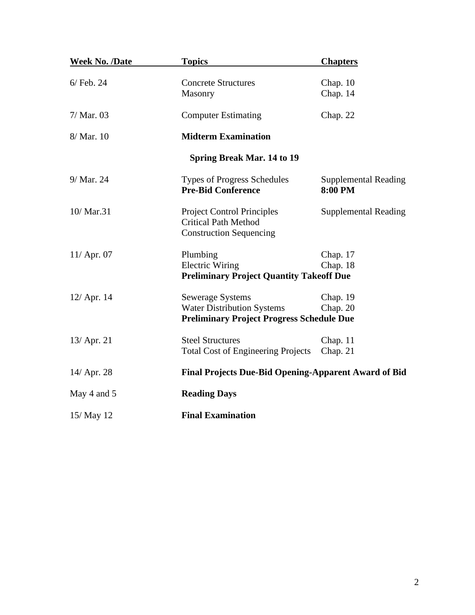| <b>Week No. /Date</b> | <b>Topics</b>                                                                                                    | <b>Chapters</b>                        |  |
|-----------------------|------------------------------------------------------------------------------------------------------------------|----------------------------------------|--|
| $6/$ Feb. 24          | <b>Concrete Structures</b><br>Masonry                                                                            | Chap. $10$<br>Chap. 14                 |  |
| $7/Mar.$ 03           | <b>Computer Estimating</b>                                                                                       | Chap. 22                               |  |
| 8/ Mar. 10            | <b>Midterm Examination</b>                                                                                       |                                        |  |
|                       | <b>Spring Break Mar. 14 to 19</b>                                                                                |                                        |  |
| 9/ Mar. 24            | <b>Types of Progress Schedules</b><br><b>Pre-Bid Conference</b>                                                  | <b>Supplemental Reading</b><br>8:00 PM |  |
| 10/ Mar.31            | <b>Project Control Principles</b><br><b>Critical Path Method</b><br><b>Construction Sequencing</b>               | <b>Supplemental Reading</b>            |  |
| $11/$ Apr. 07         | Plumbing<br><b>Electric Wiring</b><br><b>Preliminary Project Quantity Takeoff Due</b>                            | Chap. 17<br>Chap. 18                   |  |
| $12/$ Apr. 14         | <b>Sewerage Systems</b><br><b>Water Distribution Systems</b><br><b>Preliminary Project Progress Schedule Due</b> | Chap. 19<br>Chap. $20$                 |  |
| 13/ Apr. 21           | <b>Steel Structures</b><br><b>Total Cost of Engineering Projects</b>                                             | Chap. $11$<br>Chap. 21                 |  |
| 14/ Apr. 28           | <b>Final Projects Due-Bid Opening-Apparent Award of Bid</b>                                                      |                                        |  |
| May 4 and 5           | <b>Reading Days</b>                                                                                              |                                        |  |
| 15/ May 12            | <b>Final Examination</b>                                                                                         |                                        |  |